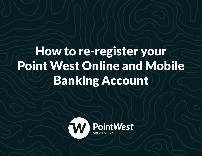# How to re-register your Point West Online and Mobile Banking Account

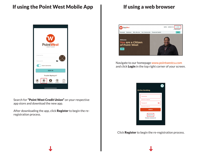

Search for "Point West Credit Union" on your respective app store and download the new app.

After downloading the app, click Register to begin the reregistration process.



Navigate to our homepage www.pointwestcu.com and click Login in the top right corner of your screen.



Click Register to begin the re-registration process.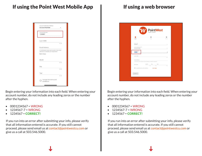| <b>Account Verification Method</b><br><b>Account Number</b>                               |
|-------------------------------------------------------------------------------------------|
| Account Number<br>1234567                                                                 |
| Last 4 SSN                                                                                |
| 0/4                                                                                       |
| <b>Email Address</b>                                                                      |
| A confirmation email will be sent to this email<br>address to complete your registration. |
| Birth Date:                                                                               |
| Month                                                                                     |
| 0/2                                                                                       |
| Day                                                                                       |
| 0/2                                                                                       |
| Year                                                                                      |
| 0/4                                                                                       |
| I accept the terms and<br>conditions                                                      |

Begin entering your information into each field. When entering your account number, do not include any leading zeros or the number after the hyphen.

- 0001234567 = WRONG
- 1234567-7 = WRONG
- 1234567 = CORRECT!

If you run into an error after submitting your info, please verify that all information entered is accurate. If you still cannot proceed, please send email us at contact@pointwestcu.com or give us a call at 503.546.5000.

| n<br>Verify                                   | ø<br>Setup                                                                               | Θ<br>Finalize |
|-----------------------------------------------|------------------------------------------------------------------------------------------|---------------|
| Acoount Type<br>Personal                      |                                                                                          | $\sim$        |
| Account Verification Method<br>Account Number |                                                                                          |               |
| 1234567<br>Last 4 SSN                         |                                                                                          | ¢<br>0/4      |
| Email Address                                 | A confirmation email will be sent to this email address to complete your registration.   |               |
| Birth Date:                                   | Month<br>Day<br>Year<br>$0/2$ 0/2<br>I accept the terms and conditions <b>VIEW TERMS</b> | 0/4           |

Begin entering your information into each field. When entering your account number, do not include any leading zeros or the number after the hyphen.

- 0001234567 = WRONG
- $1234567 7 = WRONG$
- $1234567 = \text{CORRECT!}$

If you run into an error after submitting your info, please verify that all information entered is accurate. If you still cannot proceed, please send email us at contact@pointwestcu.com or give us a call at 503.546.5000.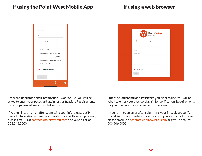

Enter the Username and Password you want to use. You will be asked to enter your password again for verification. Requirements for your password are shown below the form.

If you run into an error after submitting your info, please verify that all information entered is accurate. If you still cannot proceed, please email us at contact@pointwestcu.com or give us a call at 503.546.5000.



Enter the Username and Password you want to use. You will be asked to enter your password again for verification. Requirements for your password are shown below the form.

If you run into an error after submitting your info, please verify that all information entered is accurate. If you still cannot proceed, please email us at contact@pointwestcu.com or give us a call at 503.546.5000.